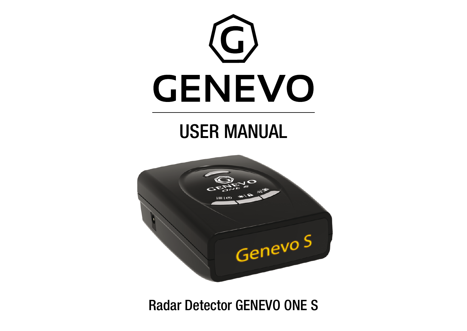

# USER MANUAL



Radar Detector GENEVO ONE S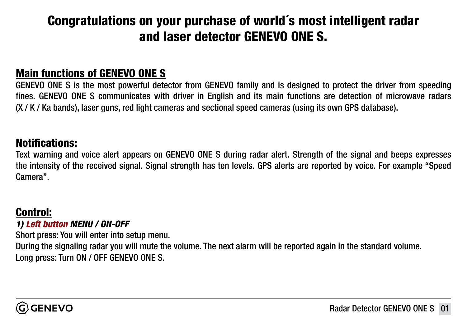# Congratulations on your purchase of world´s most intelligent radar and laser detector GENEVO ONE S.

### Main functions of GENEVO ONE S

GENEVO ONE S is the most powerful detector from GENEVO family and is designed to protect the driver from speeding fines. GENEVO ONE S communicates with driver in English and its main functions are detection of microwave radars (X / K / Ka bands), laser guns, red light cameras and sectional speed cameras (using its own GPS database).

### Notifications:

Text warning and voice alert appears on GENEVO ONE S during radar alert. Strength of the signal and beeps expresses the intensity of the received signal. Signal strength has ten levels. GPS alerts are reported by voice. For example "Speed Camera".

### Control:

#### *1) Left button MENU / ON-OFF*

Short press: You will enter into setup menu.

During the signaling radar you will mute the volume. The next alarm will be reported again in the standard volume. Long press: Turn ON / OFF GENEVO ONE S.

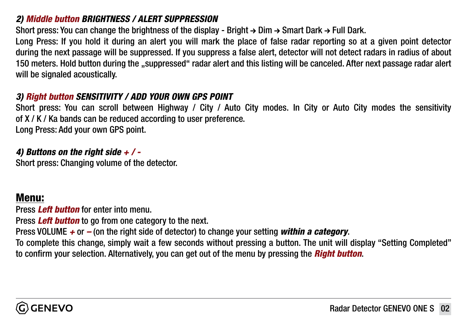### *2) Middle button BRIGHTNESS / ALERT SUPPRESSION*

Short press: You can change the brightness of the display - Bright  $\rightarrow$  Dim  $\rightarrow$  Smart Dark  $\rightarrow$  Full Dark.

Long Press: If you hold it during an alert you will mark the place of false radar reporting so at a given point detector during the next passage will be suppressed. If you suppress a false alert, detector will not detect radars in radius of about 150 meters. Hold button during the "suppressed" radar alert and this listing will be canceled. After next passage radar alert will be signaled acoustically.

#### *3) Right button SENSITIVITY / ADD YOUR OWN GPS POINT*

Short press: You can scroll between Highway / City / Auto City modes. In City or Auto City modes the sensitivity of X / K / Ka bands can be reduced according to user preference.

Long Press: Add your own GPS point.

### *4) Buttons on the right side + / -*

Short press: Changing volume of the detector.

### Menu:

Press *Left button* for enter into menu.

Press *Left button* to go from one category to the next.

Press VOLUME *+* or *–* (on the right side of detector) to change your setting *within a category*.

To complete this change, simply wait a few seconds without pressing a button. The unit will display "Setting Completed" to confirm your selection. Alternatively, you can get out of the menu by pressing the *Right button*.

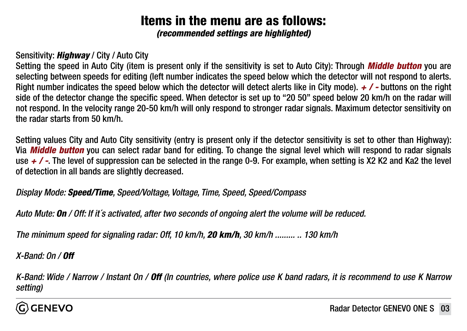# Items in the menu are as follows:

*(recommended settings are highlighted)*

### Sensitivity: *Highway* / City / Auto City

Setting the speed in Auto City (item is present only if the sensitivity is set to Auto City): Through *Middle button* you are selecting between speeds for editing (left number indicates the speed below which the detector will not respond to alerts. Right number indicates the speed below which the detector will detect alerts like in City mode).  $\neq$  / - buttons on the right side of the detector change the specific speed. When detector is set up to "20 50" speed below 20 km/h on the radar will not respond. In the velocity range 20-50 km/h will only respond to stronger radar signals. Maximum detector sensitivity on the radar starts from 50 km/h.

Setting values City and Auto City sensitivity (entry is present only if the detector sensitivity is set to other than Highway): Via *Middle button* you can select radar band for editing. To change the signal level which will respond to radar signals use *+ / -*. The level of suppression can be selected in the range 0-9. For example, when setting is X2 K2 and Ka2 the level of detection in all bands are slightly decreased.

*Display Mode: Speed/Time, Speed/Voltage, Voltage, Time, Speed, Speed/Compass*

*Auto Mute: On / Off: If it´s activated, after two seconds of ongoing alert the volume will be reduced.*

*The minimum speed for signaling radar: Off, 10 km/h, 20 km/h, 30 km/h ......... .. 130 km/h*

*X-Band: On / Off*

*K-Band: Wide / Narrow / Instant On / Off (In countries, where police use K band radars, it is recommend to use K Narrow setting)*

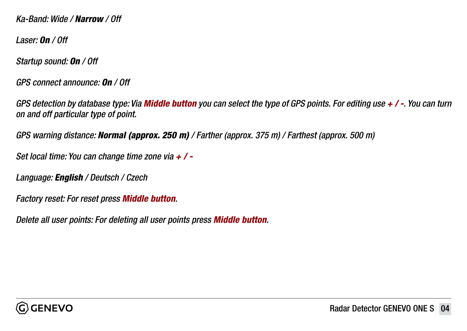*Ka-Band: Wide / Narrow / Off*

*Laser: On / Off* 

*Startup sound: On / Off*

*GPS connect announce: On / Off*

*GPS detection by database type: Via Middle button you can select the type of GPS points. For editing use + / -. You can turn on and off particular type of point.* 

*GPS warning distance: Normal (approx. 250 m) / Farther (approx. 375 m) / Farthest (approx. 500 m)*

*Set local time: You can change time zone via + / -*

*Language: English / Deutsch / Czech*

*Factory reset: For reset press Middle button.* 

*Delete all user points: For deleting all user points press Middle button.*

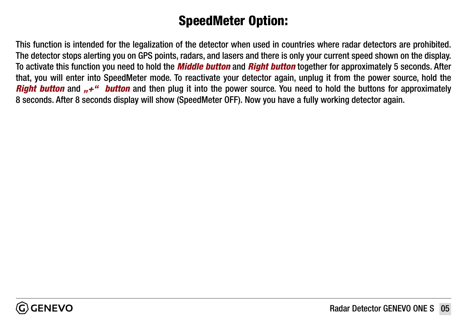# SpeedMeter Option:

This function is intended for the legalization of the detector when used in countries where radar detectors are prohibited. The detector stops alerting you on GPS points, radars, and lasers and there is only your current speed shown on the display. To activate this function you need to hold the *Middle button* and *Right button* together for approximately 5 seconds. After that, you will enter into SpeedMeter mode. To reactivate your detector again, unplug it from the power source, hold the *Right button* and  $...+$ " *button* and then plug it into the power source. You need to hold the buttons for approximately 8 seconds. After 8 seconds display will show (SpeedMeter OFF). Now you have a fully working detector again.

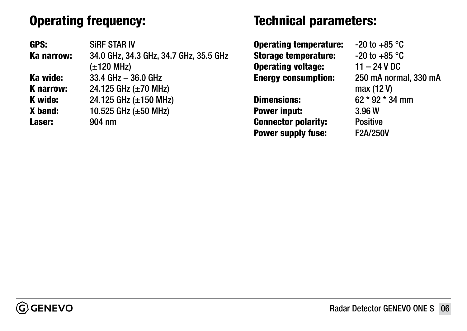# Operating frequency:

GPS: SiRF STAR IV Ka narrow: 34.0 GHz, 34.3 GHz, 34.7 GHz, 35.5 GHz (±120 MHz) Ka wide: 33.4 GHz – 36.0 GHz **K narrow:** 24.125 GHz  $(\pm 70 \text{ MHz})$ **K** wide:  $24.125$  GHz ( $\pm 150$  MHz) X band: 10.525 GHz (±50 MHz) Laser: 904 nm

### Technical parameters:

**Operating temperature:**  $-20$  to  $+85$  °C **Storage temperature:**  $-20$  to  $+85$  °C Operating voltage: 11 – 24 V DC Energy consumption: 250 mA normal, 330 mA

Power input: 3.96 W Connector polarity: Positive Power supply fuse: F2A/250V

 max (12 V) Dimensions: 62 \* 92 \* 34 mm

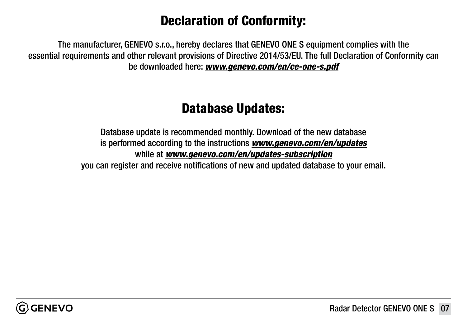# Declaration of Conformity:

The manufacturer, GENEVO s.r.o., hereby declares that GENEVO ONE S equipment complies with the essential requirements and other relevant provisions of Directive 2014/53/EU. The full Declaration of Conformity can be downloaded here: *[www.genevo.com/en/ce-one-s.pdf](http://www.genevo.com/en/ce-one-s.pdf)*

## Database Updates:

Database update is recommended monthly. Download of the new database is performed according to the instructions *[www.genevo.com/en/updates](https://www.genevo.com/en/updates-support/)* while at *[www.genevo.com/en/updates-subscription](https://www.genevo.com/en/updates-subscription/)* you can register and receive notifications of new and updated database to your email.

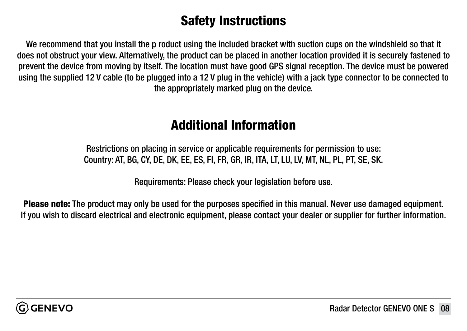# Safety Instructions

We recommend that you install the p roduct using the included bracket with suction cups on the windshield so that it does not obstruct your view. Alternatively, the product can be placed in another location provided it is securely fastened to prevent the device from moving by itself. The location must have good GPS signal reception. The device must be powered using the supplied 12 V cable (to be plugged into a 12 V plug in the vehicle) with a jack type connector to be connected to the appropriately marked plug on the device.

### Additional Information

Restrictions on placing in service or applicable requirements for permission to use: Country: AT, BG, CY, DE, DK, EE, ES, FI, FR, GR, IR, ITA, LT, LU, LV, MT, NL, PL, PT, SE, SK.

Requirements: Please check your legislation before use.

Please note: The product may only be used for the purposes specified in this manual. Never use damaged equipment. If you wish to discard electrical and electronic equipment, please contact your dealer or supplier for further information.